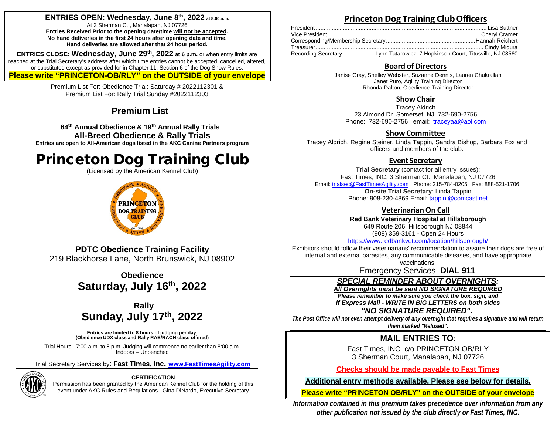## **ENTRIES OPEN: Wednesday, June 8th, 2022 at 8:00 a.m.**

At 3 Sherman Ct., Manalapan, NJ 07726 **Entries Received Prior to the opening date/time will not be accepted. No hand deliveries in the first 24 hours after opening date and time. Hand deliveries are allowed after that 24 hour period.**

**ENTRIES CLOSE: Wednesday, June 29th, 2022 at 6 p.m.** or when entry limits are reached at the Trial Secretary's address after which time entries cannot be accepted, cancelled, altered, or substituted except as provided for in Chapter 11, Section 6 of the Dog Show Rules. **Please write "PRINCETON-OB/RLY" on the OUTSIDE of your envelope**

> Premium List For: Obedience Trial: Saturday # 2022112301 & Premium List For: Rally Trial Sunday #2022112303

## **Premium List**

**64th Annual Obedience & 19th Annual Rally Trials All-Breed Obedience & Rally Trials Entries are open to All-American dogs listed in the AKC Canine Partners program**

# Princeton Dog Training Club

(Licensed by the American Kennel Club)



## **Princeton Dog Training ClubOfficers**

| Recording SecretaryLynn Tatarowicz, 7 Hopkinson Court, Titusville, NJ 08560 |  |
|-----------------------------------------------------------------------------|--|

### **Board of Directors**

Janise Gray, Shelley Webster, Suzanne Dennis, Lauren Chukrallah Janet Puro, Agility Training Director Rhonda Dalton, Obedience Training Director

## **Show Chair**

Tracey Aldrich 23 Almond Dr. Somerset, NJ 732-690-2756 Phone: 732-690-2756 email: [traceyaa@aol.com](mailto:traceyaa@aol.com)

### **ShowCommittee**

Tracey Aldrich, Regina Steiner, Linda Tappin, Sandra Bishop, Barbara Fox and officers and members of the club.

## **Event Secretary**

**Trial Secretary** (contact for all entry issues): Fast Times, INC, 3 Sherman Ct., Manalapan, NJ 07726 Email[: trialsec@FastTimesAgility.com](mailto:trialsec@FastTimesAgility.com) Phone: 215-784-0205 Fax: 888-521-1706: **On-site Trial Secretary**: Linda Tappin Phone: 908-230-4869 Email: [tappinl@comcast.net](mailto:tappinl@comcast.net)

## **VeterinarianOn Call**

**Red Bank Veterinary Hospital at Hillsborough** 649 Route 206, Hillsborough NJ 08844

(908) 359-3161 - Open 24 Hours

<https://www.redbankvet.com/location/hillsborough/>

Exhibitors should follow their veterinarians' recommendation to assure their dogs are free of internal and external parasites, any communicable diseases, and have appropriate vaccinations.

Emergency Services **DIAL 911**

## *SPECIAL REMINDER ABOUT OVERNIGHTS:*

*All Overnights must be sent NO SIGNATURE REQUIRED*

*Please remember to make sure you check the box, sign, and if Express Mail - WRITE IN BIG LETTERS on both sides* 

### *"NO SIGNATURE REQUIRED".*

*The Post Office will not even attempt delivery of any overnight that requires a signature and will return them marked "Refused".*

## **MAIL ENTRIES TO:**

Fast Times, INC c/o PRINCETON OB/RLY 3 Sherman Court, Manalapan, NJ 07726

**Checks should be made payable to Fast Times**

**Additional entry methods available. Please see below for details.** 

**Please write "PRINCETON OB/RLY" on the OUTSIDE of your envelope**

*Information contained in this premium takes precedence over information from any other publication not issued by the club directly or Fast Times, INC.*

**PDTC Obedience Training Facility** 219 Blackhorse Lane, North Brunswick, NJ 08902

> **Obedience Saturday, July 16th, 2022**

## **Rally Sunday, July 17th, 2022**

Entries are limited to 8 hours of judging per day.<br>(Obedience UDX class and Rally RAE/RACH class offered)

Trial Hours: 7:00 a.m. to 8 p.m. Judging will commence no earlier than 8:00 a.m. Indoors – Unbenched

Trial Secretary Services by: **Fast Times, Inc. [www.FastTimesAgility.com](http://www.fasttimesagility.com/)**



## **CERTIFICATION**

Permission has been granted by the American Kennel Club for the holding of this event under AKC Rules and Regulations. Gina DiNardo, Executive Secretary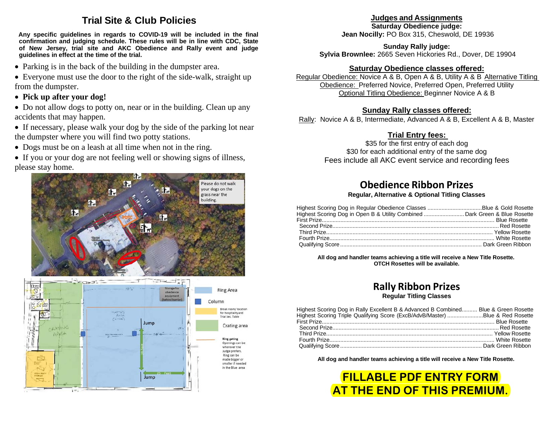## **Trial Site & Club Policies**

**Any specific guidelines in regards to COVID-19 will be included in the final confirmation and judging schedule. These rules will be in line with CDC, State of New Jersey, trial site and AKC Obedience and Rally event and judge guidelines in effect at the time of the trial.**

• Parking is in the back of the building in the dumpster area.

• Everyone must use the door to the right of the side-walk, straight up from the dumpster.

- **Pick up after your dog!**
- Do not allow dogs to potty on, near or in the building. Clean up any accidents that may happen.
- If necessary, please walk your dog by the side of the parking lot near the dumpster where you will find two potty stations.
- Dogs must be on a leash at all time when not in the ring.

• If you or your dog are not feeling well or showing signs of illness, please stay home.



## **Judges and Assignments**

**Saturday Obedience judge: Jean Nocilly:** PO Box 315, Cheswold, DE 19936

**Sunday Rally judge:**

**Sylvia Brownlee:** 2665 Seven Hickories Rd., Dover, DE 19904

## **Saturday Obedience classes offered:**

Regular Obedience: Novice A & B, Open A & B, Utility A & B Alternative Titling Obedience: Preferred Novice, Preferred Open, Preferred Utility Optional Titling Obedience: Beginner Novice A & B

## **Sunday Rally classes offered:**

Rally: Novice A & B, Intermediate, Advanced A & B, Excellent A & B, Master

## **Trial Entry fees:**

\$35 for the first entry of each dog \$30 for each additional entry of the same dog Fees include all AKC event service and recording fees

# **Obedience Ribbon Prizes**

### **Regular, Alternative & Optional Titling Classes**

| Highest Scoring Dog in Open B & Utility Combined  Dark Green & Blue Rosette |  |
|-----------------------------------------------------------------------------|--|
|                                                                             |  |

**All dog and handler teams achieving a title will receive a New Title Rosette. OTCH Rosettes will be available.**

## **Rally Ribbon Prizes Regular Titling Classes**

| Highest Scoring Dog in Rally Excellent B & Advanced B Combined Blue & Green Rosette |  |
|-------------------------------------------------------------------------------------|--|
| Highest Scoring Triple Qualifying Score (ExcB/AdvB/Master) Blue & Red Rosette       |  |
|                                                                                     |  |
|                                                                                     |  |
|                                                                                     |  |
|                                                                                     |  |
|                                                                                     |  |

**All dog and handler teams achieving a title will receive a New Title Rosette.**

**FILLABLE PDF ENTRY FORM AT THE END OF THIS PREMIUM.**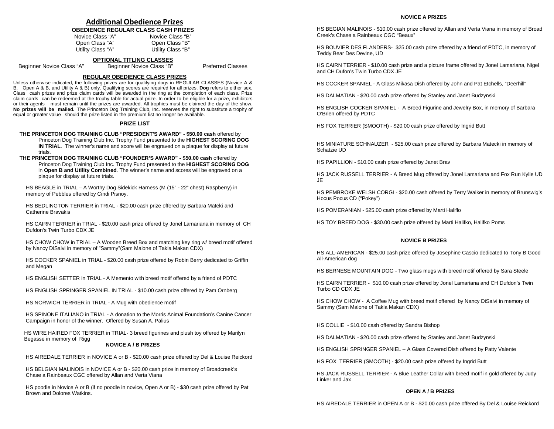### **Additional Obedience Prizes**

## **OBEDIENCE REGULAR CLASS CASH PRIZES**<br>Novice Class "A" Movice Class "B"

| Novice Class "A"  | Novice Class "B"  |
|-------------------|-------------------|
| Open Class "A"    | Open Class "B"    |
| Utility Class "A" | Utility Class "B" |

## **OPTIONAL TITLING CLASSES**<br>Beginner Novice Class "B"

Beginner Novice Class "A" Beginner Novice Class "B" Preferred Classes

#### **REGULAR OBEDIENCE CLASS PRIZES**

Unless otherwise indicated, the following prizes are for qualifying dogs in REGULAR CLASSES (Novice A & B, Open A & B, and Utility A & B) only. Qualifying scores are required for all prizes. **Dog** refers to either sex. Class cash prizes and prize claim cards will be awarded in the ring at the completion of each class. Prize claim cards can be redeemed at the trophy table for actual prize. In order to be eligible for a prize, exhibitors or their agents must remain until the prizes are awarded. All trophies must be claimed the day of the show. **No prizes will be mailed.** The Princeton Dog Training Club, Inc. reserves the right to substitute a trophy of equal or greater value should the prize listed in the premium list no longer be available.

#### **PRIZE LIST**

### **THE PRINCETON DOG TRAINING CLUB "PRESIDENT'S AWARD" - \$50.00 cash** offered by

Princeton Dog Training Club Inc. Trophy Fund presented to the **HIGHEST SCORING DOG IN TRIAL.** The winner's name and score will be engraved on a plaque for display at future trials.

**THE PRINCETON DOG TRAINING CLUB "FOUNDER'S AWARD" - \$50.00 cash** offered by Princeton Dog Training Club Inc. Trophy Fund presented to the **HIGHEST SCORING DOG** in **Open B and Utility Combined**. The winner's name and scores will be engraved on a plaque for display at future trials.

HS BEAGLE in TRIAL – A Worthy Dog Sidekick Harness (M (15" - 22" chest) Raspberry) in memory of Pebbles offered by Cindi Pisnoy.

HS BEDLINGTON TERRIER in TRIAL - \$20.00 cash prize offered by Barbara Mateki and Catherine Bravakis

HS CAIRN TERRIER in TRIAL - \$20.00 cash prize offered by Jonel Lamariana in memory of CH Dufdon's Twin Turbo CDX JE

HS CHOW CHOW in TRIAL – A Wooden Breed Box and matching key ring w/ breed motif offered by Nancy DiSalvi in memory of "Sammy"(Sam Malone of Takla Makan CDX)

HS COCKER SPANIEL in TRIAL - \$20.00 cash prize offered by Robin Berry dedicated to Griffin and Megan

HS ENGLISH SETTER in TRIAL - A Memento with breed motif offered by a friend of PDTC

HS ENGLISH SPRINGER SPANIEL IN TRIAL - \$10.00 cash prize offered by Pam Ornberg

HS NORWICH TERRIER in TRIAL - A Mug with obedience motif

HS SPINONE ITALIANO in TRIAL - A donation to the Morris Animal Foundation's Canine Cancer Campaign in honor of the winner. Offered by Susan A. Palius

HS WIRE HAIRED FOX TERRIER in TRIAL- 3 breed figurines and plush toy offered by Marilyn Begasse in memory of Rigg

#### **NOVICE A / B PRIZES**

HS AIREDALE TERRIER in NOVICE A or B - \$20.00 cash prize offered by Del & Louise Reickord

HS BELGIAN MALINOIS in NOVICE A or B - \$20.00 cash prize in memory of Broadcreek's Chase a Rainbeaux CGC offered by Allan and Verta Viana

HS poodle in Novice A or B (if no poodle in novice, Open A or B) - \$30 cash prize offered by Pat Brown and Dolores Watkins.

#### **NOVICE A PRIZES**

HS BEGIAN MALINOIS - \$10.00 cash prize offered by Allan and Verta Viana in memory of Broad Creek's Chase a Rainbeaux CGC "Beaux"

HS BOUVIER DES FLANDERS- \$25.00 cash prize offered by a friend of PDTC, in memory of Teddy Bear Des Devine, UD

HS CAIRN TERRIER - \$10.00 cash prize and a picture frame offered by Jonel Lamariana, Nigel and CH Dufon's Twin Turbo CDX JE

HS COCKER SPANIEL - A Glass Mikasa Dish offered by John and Pat Etchells, "Deerhill"

HS DALMATIAN - \$20.00 cash prize offered by Stanley and Janet Budzynski

HS ENGLISH COCKER SPANIEL - A Breed Figurine and Jewelry Box, in memory of Barbara O'Brien offered by PDTC

HS FOX TERRIER (SMOOTH) - \$20.00 cash prize offered by Ingrid Butt

HS MINIATURE SCHNAUZER - \$25.00 cash prize offered by Barbara Matecki in memory of Schatzie UD

HS PAPILLION - \$10.00 cash prize offered by Janet Brav

HS JACK RUSSELL TERRIER - A Breed Mug offered by Jonel Lamariana and Fox Run Kylie UD JE

HS PEMBROKE WELSH CORGI - \$20.00 cash offered by Terry Walker in memory of Brunswig's Hocus Pocus CD ("Pokey")

HS POMERANIAN - \$25.00 cash prize offered by Marti Haliflo

HS TOY BREED DOG - \$30.00 cash prize offered by Marti Halifko, Halifko Poms

#### **NOVICE B PRIZES**

HS ALL-AMERICAN - \$25.00 cash prize offered by Josephine Cascio dedicated to Tony B Good All-American dog

HS BERNESE MOUNTAIN DOG - Two glass mugs with breed motif offered by Sara Steele

HS CAIRN TERRIER - \$10.00 cash prize offered by Jonel Lamariana and CH Dufdon's Twin Turbo CD CDX JE

HS CHOW CHOW - A Coffee Mug with breed motif offered by Nancy DiSalvi in memory of Sammy (Sam Malone of Takla Makan CDX)

HS COLLIE - \$10.00 cash offered by Sandra Bishop

HS DALMATIAN - \$20.00 cash prize offered by Stanley and Janet Budzynski

HS ENGLISH SPRINGER SPANIEL – A Glass Covered Dish offered by Patty Valente

HS FOX TERRIER (SMOOTH) - \$20.00 cash prize offered by Ingrid Butt

HS JACK RUSSELL TERRIER - A Blue Leather Collar with breed motif in gold offered by Judy Linker and Jax

#### **OPEN A / B PRIZES**

HS AIREDALE TERRIER in OPEN A or B - \$20.00 cash prize offered By Del & Louise Reickord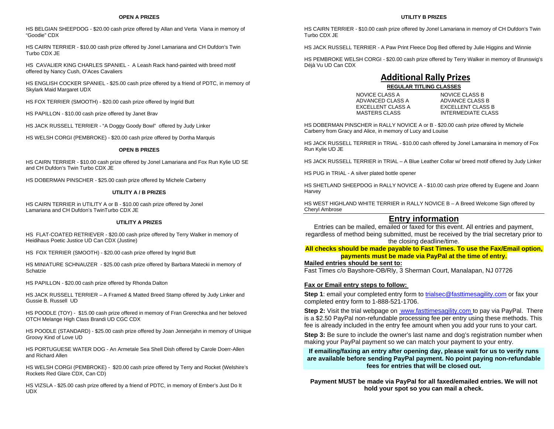HS BELGIAN SHEEPDOG - \$20.00 cash prize offered by Allan and Verta Viana in memory of "Goodie" CDX

HS CAIRN TERRIER - \$10.00 cash prize offered by Jonel Lamariana and CH Dufdon's Twin Turbo CDX JE

HS CAVALIER KING CHARLES SPANIEL - A Leash Rack hand-painted with breed motif offered by Nancy Cush, O'Aces Cavaliers

HS ENGLISH COCKER SPANIEL - \$25.00 cash prize offered by a friend of PDTC, in memory of Skylark Maid Margaret UDX

HS FOX TERRIER (SMOOTH) - \$20.00 cash prize offered by Ingrid Butt

HS PAPILLON - \$10.00 cash prize offered by Janet Brav

HS JACK RUSSELL TERRIER - "A Doggy Goody Bowl" offered by Judy Linker

HS WELSH CORGI (PEMBROKE) - \$20.00 cash prize offered by Dortha Marquis

#### **OPEN B PRIZES**

HS CAIRN TERRIER - \$10.00 cash prize offered by Jonel Lamariana and Fox Run Kylie UD SE and CH Dufdon's Twin Turbo CDX JE

HS DOBERMAN PINSCHER - \$25.00 cash prize offered by Michele Carberry

#### **UTILITY A / B PRIZES**

HS CAIRN TERRIER in UTILITY A or B - \$10.00 cash prize offered by Jonel Lamariana and CH Dufdon's TwinTurbo CDX JE

#### **UTILITY A PRIZES**

HS FLAT-COATED RETRIEVER - \$20.00 cash prize offered by Terry Walker in memory of Heidihaus Poetic Justice UD Can CDX (Justine)

HS FOX TERRIER (SMOOTH) - \$20.00 cash prize offered by Ingrid Butt

HS MINIATURE SCHNAUZER - \$25.00 cash prize offered by Barbara Matecki in memory of Schatzie

HS PAPILLON - \$20.00 cash prize offered by Rhonda Dalton

HS JACK RUSSELL TERRIER – A Framed & Matted Breed Stamp offered by Judy Linker and Gussie B. Russell UD

HS POODLE (TOY) - \$15.00 cash prize offered in memory of Fran Grerechka and her beloved OTCH Melange High Class Brandi UD CGC CDX

HS POODLE (STANDARD) - \$25.00 cash prize offered by Joan Jennerjahn in memory of Unique Groovy Kind of Love UD

HS PORTUGUESE WATER DOG - An Armetale Sea Shell Dish offered by Carole Doerr-Allen and Richard Allen

HS WELSH CORGI (PEMBROKE) - \$20.00 cash prize offered by Terry and Rocket (Welshire's Rockets Red Glare CDX, Can CD)

HS VIZSLA - \$25.00 cash prize offered by a friend of PDTC, in memory of Ember's Just Do It UDX

#### HS CAIRN TERRIER - \$10.00 cash prize offered by Jonel Lamariana in memory of CH Dufdon's Twin Turbo CDX JE

HS JACK RUSSELL TERRIER - A Paw Print Fleece Dog Bed offered by Julie Higgins and Winnie

HS PEMBROKE WELSH CORGI - \$20.00 cash prize offered by Terry Walker in memory of Brunswig's Déjà Vu UD Can CDX

## **Additional Rally Prizes**

### **REGULAR TITLING CLASSES**

| NOVICE CLASS A    | NOVICE CLASS B    |
|-------------------|-------------------|
| ADVANCED CLASS A  | ADVANCE CLASS B   |
| EXCELLENT CLASS A | EXCELLENT CLASS   |
| MASTERS CLASS     | INTERMEDIATE CI A |

EXCELLENT CLASS B **INTERMEDIATE CLASS** 

HS DOBERMAN PINSCHER in RALLY NOVICE A or B - \$20.00 cash prize offered by Michele Carberry from Gracy and Alice, in memory of Lucy and Louise

HS JACK RUSSELL TERRIER in TRIAL - \$10.00 cash offered by Jonel Lamaraina in memory of Fox Run Kylie UD JE

HS JACK RUSSELL TERRIER in TRIAL – A Blue Leather Collar w/ breed motif offered by Judy Linker

HS PUG in TRIAL - A silver plated bottle opener

HS SHETLAND SHEEPDOG in RALLY NOVICE A - \$10.00 cash prize offered by Eugene and Joann **Harvey** 

HS WEST HIGHLAND WHITE TERRIER in RALLY NOVICE B – A Breed Welcome Sign offered by Cheryl Ambrose

### **Entry information**

Entries can be mailed, emailed or faxed for this event. All entries and payment, regardless of method being submitted, must be received by the trial secretary prior to the closing deadline/time.

**All checks should be made payable to Fast Times. To use the Fax/Email option, payments must be made via PayPal at the time of entry.**

### **Mailed entries should be sent to:**

Fast Times c/o Bayshore-OB/Rly, 3 Sherman Court, Manalapan, NJ 07726

#### **Fax or Email entry steps to follow:**

**Step 1**: email your completed entry form to [trialsec@fasttimesagility.com](mailto:trialsec@fasttimesagility.com) or fax your completed entry form to 1-888-521-1706.

**Step 2:** Visit the trial webpage on www.fasttimesagility.com to pay via PayPal. There is a \$2.50 PayPal non-refundable processing fee per entry using these methods. This fee is already included in the entry fee amount when you add your runs to your cart.

**Step 3:** Be sure to include the owner's last name and dog's registration number when making your PayPal payment so we can match your payment to your entry.

**If emailing/faxing an entry after opening day, please wait for us to verify runs are available before sending PayPal payment. No point paying non-refundable fees for entries that will be closed out.**

**Payment MUST be made via PayPal for all faxed/emailed entries. We will not hold your spot so you can mail a check.** 

#### **UTILITY B PRIZES**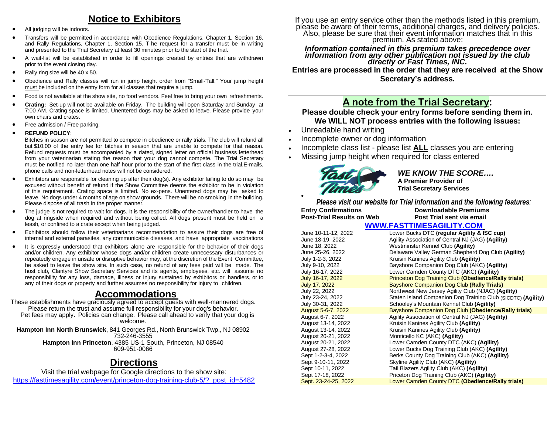## **Notice to Exhibitors**

- All judging will be indoors.
- Transfers will be permitted in accordance with Obedience Regulations, Chapter 1, Section 16. and Rally Regulations, Chapter 1, Section 15. T he request for a transfer must be in writing and presented to the Trial Secretary at least 30 minutes prior to the start of the trial.
- A wait-list will be established in order to fill openings created by entries that are withdrawn prior to the event closing day.
- Rally ring size will be 40 x 50.
- Obedience and Rally classes will run in jump height order from "Small-Tall." Your jump height must be included on the entry form for all classes that require a jump.
- Food is not available at the show site, no food vendors. Feel free to bring your own refreshments.
- **Crating:** Set-up will not be available on Friday. The building will open Saturday and Sunday at 7:00 AM. Crating space is limited. Unentered dogs may be asked to leave. Please provide your own chairs and crates.
- Free admission / Free parking.
- **REFUND POLICY**:

Bitches in season are not permitted to compete in obedience or rally trials. The club will refund all but \$10.00 of the entry fee for bitches in season that are unable to compete for that reason. Refund requests must be accompanied by a dated, signed letter on official business letterhead from your veterinarian stating the reason that your dog cannot compete. The Trial Secretary must be notified no later than one half hour prior to the start of the first class in the trial.E-mails, phone calls and non-letterhead notes will not be considered.

- Exhibitors are responsible for cleaning up after their dog(s). Any exhibitor failing to do so may be excused without benefit of refund if the Show Committee deems the exhibitor to be in violation of this requirement. Crating space is limited. No ex-pens. Unentered dogs may be asked to leave. No dogs under 4 months of age on show grounds. There will be no smoking in the building. Please dispose of all trash in the proper manner.
- The judge is not required to wait for dogs. It is the responsibility of the owner/handler to have the dog at ringside when required and without being called. All dogs present must be held on a leash, or confined to a crate except when being judged.
- Exhibitors should follow their veterinarians recommendation to assure their dogs are free of internal and external parasites, any communicable diseases, and have appropriate vaccinations
- It is expressly understood that exhibitors alone are responsible for the behavior of their dogs and/or children. Any exhibitor whose dogs and/or children create unnecessary disturbances or repeatedly engage in unsafe or disruptive behavior may, at the discretion of the Event Committee, be asked to leave the show site. In such case, no refund of any fees paid will be made. The host club, Clantyre Show Secretary Services and its agents, employees, etc. will assume no responsibility for any loss, damage, illness or injury sustained by exhibitors or handlers, or to any of their dogs or property and further assumes no responsibility for injury to children.

**Accommodations**<br>These establishments have graciously agreed to accept guests with well-mannered dogs. Please return the trust and assume full responsibility for your dog's behavior. Pet fees may apply. Policies can change. Please call ahead to verify that your dog is welcome.

**Hampton Inn North Brunswick**, 841 Georges Rd., North Brunswick Twp., NJ 08902 732-246-3555 **Hampton Inn Princeton**, 4385 US-1 South, Princeton, NJ 08540 609-951-0066

## **Directions**

Visit the trial webpage for Google directions to the show site: [https://fasttimesagility.com/event/princeton-dog-training-club-5/?\\_post\\_id=5482](https://fasttimesagility.com/event/princeton-dog-training-club-5/?_post_id=5482)  If you use an entry service other than the methods listed in this premium, please be aware of their terms, additional charges, and delivery policies.<br>Also, please be sure that their event information matches that in this p

## *Information contained in this premium takes precedence over information from any other publication not issued by the club directly or Fast Times, INC.*

**Entries are processed in the order that they are received at the Show Secretary's address.**

## **A note from the Trial Secretary:**

### **Please double check your entry forms before sending them in. We WILL NOT process entries with the following issues:**

- Unreadable hand writing
- Incomplete owner or dog information
- Incomplete class list please list **ALL** classes you are entering
- Missing jump height when required for class entered



### *WE KNOW THE SCORE….* **A Premier Provider of Trial Secretary Services**

*Please visit our website for Trial information and the following features:*  **Entry Confirmations Downloadable Premiums**<br>**Post Trial sent via email** 

**Post-Trial Results on Web [WWW.FASTTIMESAGILITY.COM](about:blank)** 

| June 10-11-12, 2022  | Lower Bucks DTC (regular Agility & ISC cup)                  |
|----------------------|--------------------------------------------------------------|
| June 18-19, 2022     | Agility Association of Central NJ (JAG) (Agility)            |
| June 18, 2022        | Westminster Kennel Club (Agility)                            |
| June 25-26. 2022     | Delaware Valley German Shepherd Dog Club (Agility)           |
| July 1-2-3, 2022     | Kruisin Kanines Agility Club (Agility)                       |
| July 9-10, 2022      | Bayshore Companion Dog Club (AKC) (Agility)                  |
| July 16-17, 2022     | Lower Camden County DTC (AKC) (Agility)                      |
| July 16-17, 2022     | <b>Princeton Dog Training Club (Obedience/Rally trials)</b>  |
| July 17, 2022        | Bayshore Companion Dog Club (Rally Trials)                   |
| July 22, 2022        | Northwest New Jersey Agility Club (NJAC) (Agility)           |
| July 23-24, 2022     | Staten Island Companion Dog Training Club (SICDTC) (Agility) |
| July 30-31, 2022     | Schooley's Mountain Kennel Club (Agility)                    |
| August 5-6-7, 2022   | Bayshore Companion Dog Club (Obedience/Rally trials)         |
| August 6-7, 2022     | Agility Association of Central NJ (JAG) (Agility)            |
| August 13-14, 2022   | Kruisin Kanines Agility Club (Agility)                       |
| August 13-14, 2022   | Kruisin Kanines Agility Club (Agility)                       |
| August 20-21, 2022   | Monticello KC (AKC) (Agility)                                |
| August 20-21, 2022   | Lower Camden County DTC (AKC) (Agility)                      |
| August 27-28, 2022   | Lower Bucks Dog Training Club (AKC) (Agility)                |
| Sept 1-2-3-4, 2022   | Berks County Dog Training Club (AKC) (Agility)               |
| Sept 9-10-11, 2022   | Skyline Agility Club (AKC) (Agility)                         |
| Sept 10-11, 2022     | Tail Blazers Agility Club (AKC) (Agility)                    |
| Sept 17-18, 2022     | Priceton Dog Training Club (AKC) (Agility)                   |
| Sept. 23-24-25, 2022 | Lower Camden County DTC (Obedience/Rally trials)             |